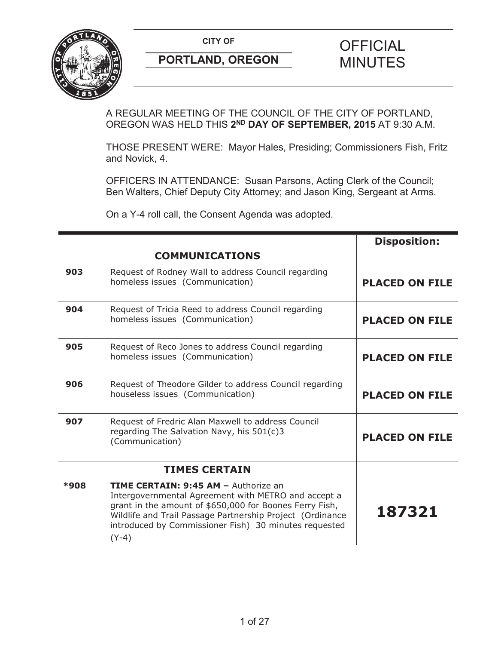

A REGULAR MEETING OF THE COUNCIL OF THE CITY OF PORTLAND, OREGON WAS HELD THIS **2ND DAY OF SEPTEMBER, 2015** AT 9:30 A.M.

THOSE PRESENT WERE: Mayor Hales, Presiding; Commissioners Fish, Fritz and Novick, 4.

OFFICERS IN ATTENDANCE: Susan Parsons, Acting Clerk of the Council; Ben Walters, Chief Deputy City Attorney; and Jason King, Sergeant at Arms.

On a Y-4 roll call, the Consent Agenda was adopted.

|             |                                                                                                                                                                                                                                                                                                | <b>Disposition:</b>   |
|-------------|------------------------------------------------------------------------------------------------------------------------------------------------------------------------------------------------------------------------------------------------------------------------------------------------|-----------------------|
|             | <b>COMMUNICATIONS</b>                                                                                                                                                                                                                                                                          |                       |
| 903         | Request of Rodney Wall to address Council regarding<br>homeless issues (Communication)                                                                                                                                                                                                         | <b>PLACED ON FILE</b> |
| 904         | Request of Tricia Reed to address Council regarding<br>homeless issues (Communication)                                                                                                                                                                                                         | <b>PLACED ON FILE</b> |
| 905         | Request of Reco Jones to address Council regarding<br>homeless issues (Communication)                                                                                                                                                                                                          | <b>PLACED ON FILE</b> |
| 906         | Request of Theodore Gilder to address Council regarding<br>houseless issues (Communication)                                                                                                                                                                                                    | <b>PLACED ON FILE</b> |
| 907         | Request of Fredric Alan Maxwell to address Council<br>regarding The Salvation Navy, his 501(c)3<br>(Communication)                                                                                                                                                                             | <b>PLACED ON FILE</b> |
|             | <b>TIMES CERTAIN</b>                                                                                                                                                                                                                                                                           |                       |
| <b>*908</b> | <b>TIME CERTAIN: 9:45 AM - Authorize an</b><br>Intergovernmental Agreement with METRO and accept a<br>grant in the amount of \$650,000 for Boones Ferry Fish,<br>Wildlife and Trail Passage Partnership Project (Ordinance<br>introduced by Commissioner Fish) 30 minutes requested<br>$(Y-4)$ | 187321                |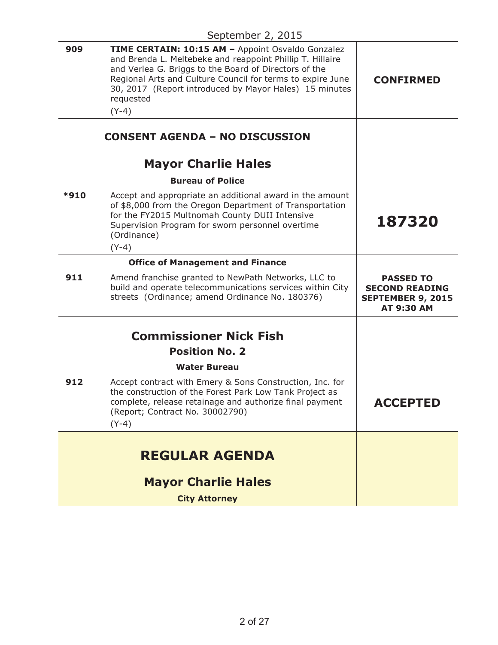|      | $\sim$ picinioci $\epsilon$ , $\epsilon$ vijo                                                                                                                                                                                                                                                                           |                                                                                            |
|------|-------------------------------------------------------------------------------------------------------------------------------------------------------------------------------------------------------------------------------------------------------------------------------------------------------------------------|--------------------------------------------------------------------------------------------|
| 909  | TIME CERTAIN: 10:15 AM - Appoint Osvaldo Gonzalez<br>and Brenda L. Meltebeke and reappoint Phillip T. Hillaire<br>and Verlea G. Briggs to the Board of Directors of the<br>Regional Arts and Culture Council for terms to expire June<br>30, 2017 (Report introduced by Mayor Hales) 15 minutes<br>requested<br>$(Y-4)$ | <b>CONFIRMED</b>                                                                           |
|      | <b>CONSENT AGENDA - NO DISCUSSION</b>                                                                                                                                                                                                                                                                                   |                                                                                            |
|      | <b>Mayor Charlie Hales</b>                                                                                                                                                                                                                                                                                              |                                                                                            |
|      | <b>Bureau of Police</b>                                                                                                                                                                                                                                                                                                 |                                                                                            |
| *910 | Accept and appropriate an additional award in the amount<br>of \$8,000 from the Oregon Department of Transportation<br>for the FY2015 Multnomah County DUII Intensive<br>Supervision Program for sworn personnel overtime<br>(Ordinance)<br>$(Y-4)$                                                                     | 187320                                                                                     |
|      | <b>Office of Management and Finance</b>                                                                                                                                                                                                                                                                                 |                                                                                            |
| 911  | Amend franchise granted to NewPath Networks, LLC to<br>build and operate telecommunications services within City<br>streets (Ordinance; amend Ordinance No. 180376)                                                                                                                                                     | <b>PASSED TO</b><br><b>SECOND READING</b><br><b>SEPTEMBER 9, 2015</b><br><b>AT 9:30 AM</b> |
|      | <b>Commissioner Nick Fish</b>                                                                                                                                                                                                                                                                                           |                                                                                            |
|      | <b>Position No. 2</b>                                                                                                                                                                                                                                                                                                   |                                                                                            |
|      |                                                                                                                                                                                                                                                                                                                         |                                                                                            |
|      | <b>Water Bureau</b>                                                                                                                                                                                                                                                                                                     |                                                                                            |
| 912  | Accept contract with Emery & Sons Construction, Inc. for<br>the construction of the Forest Park Low Tank Project as<br>complete, release retainage and authorize final payment<br>(Report; Contract No. 30002790)<br>$(Y-4)$                                                                                            | <b>ACCEPTED</b>                                                                            |
|      |                                                                                                                                                                                                                                                                                                                         |                                                                                            |
|      | <b>REGULAR AGENDA</b>                                                                                                                                                                                                                                                                                                   |                                                                                            |
|      | <b>Mayor Charlie Hales</b>                                                                                                                                                                                                                                                                                              |                                                                                            |
|      | <b>City Attorney</b>                                                                                                                                                                                                                                                                                                    |                                                                                            |
|      |                                                                                                                                                                                                                                                                                                                         |                                                                                            |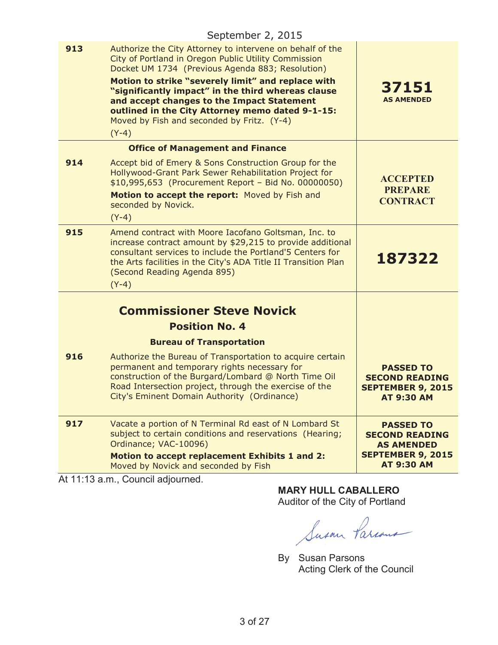|     | September 2, 2015                                                                                                                                                                                                                                                                                                                                                                                                                            |                                                                                     |
|-----|----------------------------------------------------------------------------------------------------------------------------------------------------------------------------------------------------------------------------------------------------------------------------------------------------------------------------------------------------------------------------------------------------------------------------------------------|-------------------------------------------------------------------------------------|
| 913 | Authorize the City Attorney to intervene on behalf of the<br>City of Portland in Oregon Public Utility Commission<br>Docket UM 1734 (Previous Agenda 883; Resolution)<br>Motion to strike "severely limit" and replace with<br>"significantly impact" in the third whereas clause<br>and accept changes to the Impact Statement<br>outlined in the City Attorney memo dated 9-1-15:<br>Moved by Fish and seconded by Fritz. (Y-4)<br>$(Y-4)$ | 37151<br><b>AS AMENDED</b>                                                          |
|     | <b>Office of Management and Finance</b>                                                                                                                                                                                                                                                                                                                                                                                                      |                                                                                     |
| 914 | Accept bid of Emery & Sons Construction Group for the<br>Hollywood-Grant Park Sewer Rehabilitation Project for<br>\$10,995,653 (Procurement Report - Bid No. 00000050)<br>Motion to accept the report: Moved by Fish and<br>seconded by Novick.<br>$(Y-4)$                                                                                                                                                                                   | <b>ACCEPTED</b><br><b>PREPARE</b><br><b>CONTRACT</b>                                |
| 915 | Amend contract with Moore Iacofano Goltsman, Inc. to<br>increase contract amount by \$29,215 to provide additional<br>consultant services to include the Portland'5 Centers for<br>the Arts facilities in the City's ADA Title II Transition Plan<br>(Second Reading Agenda 895)<br>$(Y-4)$                                                                                                                                                  | 187322                                                                              |
|     |                                                                                                                                                                                                                                                                                                                                                                                                                                              |                                                                                     |
|     | <b>Commissioner Steve Novick</b>                                                                                                                                                                                                                                                                                                                                                                                                             |                                                                                     |
|     | <b>Position No. 4</b>                                                                                                                                                                                                                                                                                                                                                                                                                        |                                                                                     |
|     | <b>Bureau of Transportation</b>                                                                                                                                                                                                                                                                                                                                                                                                              |                                                                                     |
| 916 | Authorize the Bureau of Transportation to acquire certain<br>permanent and temporary rights necessary for<br>construction of the Burgard/Lombard @ North Time Oil<br>Road Intersection project, through the exercise of the<br>City's Eminent Domain Authority (Ordinance)                                                                                                                                                                   | <b>PASSED TO</b><br><b>SECOND READING</b><br><b>SEPTEMBER 9, 2015</b><br>AT 9:30 AM |
| 917 | Vacate a portion of N Terminal Rd east of N Lombard St<br>subject to certain conditions and reservations (Hearing;                                                                                                                                                                                                                                                                                                                           | <b>PASSED TO</b><br><b>SECOND READING</b>                                           |
|     | Ordinance; VAC-10096)<br><b>Motion to accept replacement Exhibits 1 and 2:</b><br>Moved by Novick and seconded by Fish                                                                                                                                                                                                                                                                                                                       | <b>AS AMENDED</b><br><b>SEPTEMBER 9, 2015</b><br><b>AT 9:30 AM</b>                  |
|     | At 11:13 a.m., Council adjourned.                                                                                                                                                                                                                                                                                                                                                                                                            |                                                                                     |

**MARY HULL CABALLERO** Auditor of the City of Portland

Susan Parcous

By Susan Parsons Acting Clerk of the Council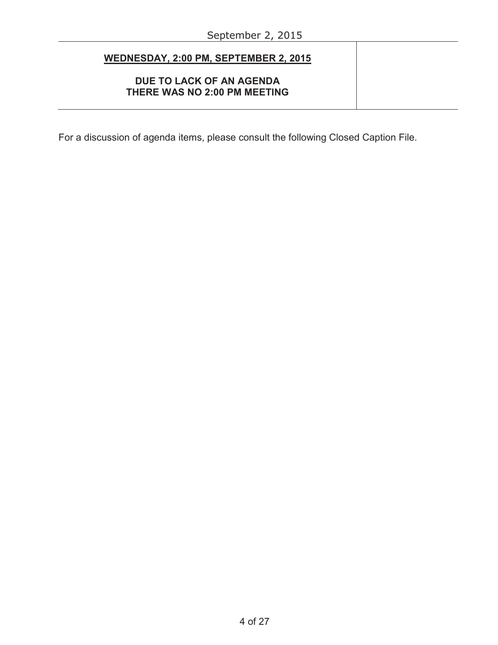÷,

| WEDNESDAY, 2:00 PM, SEPTEMBER 2, 2015                    |  |
|----------------------------------------------------------|--|
| DUE TO LACK OF AN AGENDA<br>THERE WAS NO 2:00 PM MEETING |  |

For a discussion of agenda items, please consult the following Closed Caption File.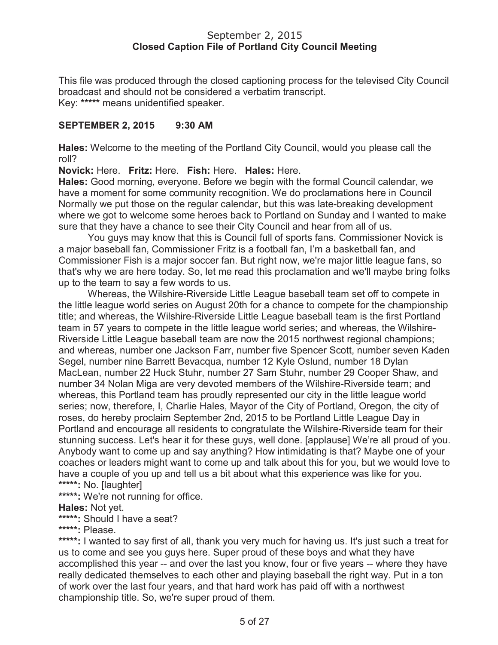## September 2, 2015 **Closed Caption File of Portland City Council Meeting**

This file was produced through the closed captioning process for the televised City Council broadcast and should not be considered a verbatim transcript. Key: **\*\*\*\*\*** means unidentified speaker.

# **SEPTEMBER 2, 2015 9:30 AM**

**Hales:** Welcome to the meeting of the Portland City Council, would you please call the roll?

**Novick:** Here. **Fritz:** Here. **Fish:** Here. **Hales:** Here.

**Hales:** Good morning, everyone. Before we begin with the formal Council calendar, we have a moment for some community recognition. We do proclamations here in Council Normally we put those on the regular calendar, but this was late-breaking development where we got to welcome some heroes back to Portland on Sunday and I wanted to make sure that they have a chance to see their City Council and hear from all of us.

You guys may know that this is Council full of sports fans. Commissioner Novick is a major baseball fan, Commissioner Fritz is a football fan, I'm a basketball fan, and Commissioner Fish is a major soccer fan. But right now, we're major little league fans, so that's why we are here today. So, let me read this proclamation and we'll maybe bring folks up to the team to say a few words to us.

Whereas, the Wilshire-Riverside Little League baseball team set off to compete in the little league world series on August 20th for a chance to compete for the championship title; and whereas, the Wilshire-Riverside Little League baseball team is the first Portland team in 57 years to compete in the little league world series; and whereas, the Wilshire-Riverside Little League baseball team are now the 2015 northwest regional champions; and whereas, number one Jackson Farr, number five Spencer Scott, number seven Kaden Segel, number nine Barrett Bevacqua, number 12 Kyle Oslund, number 18 Dylan MacLean, number 22 Huck Stuhr, number 27 Sam Stuhr, number 29 Cooper Shaw, and number 34 Nolan Miga are very devoted members of the Wilshire-Riverside team; and whereas, this Portland team has proudly represented our city in the little league world series; now, therefore, I, Charlie Hales, Mayor of the City of Portland, Oregon, the city of roses, do hereby proclaim September 2nd, 2015 to be Portland Little League Day in Portland and encourage all residents to congratulate the Wilshire-Riverside team for their stunning success. Let's hear it for these guys, well done. [applause] We're all proud of you. Anybody want to come up and say anything? How intimidating is that? Maybe one of your coaches or leaders might want to come up and talk about this for you, but we would love to have a couple of you up and tell us a bit about what this experience was like for you. **\*\*\*\*\*:** No. [laughter]

**\*\*\*\*\*:** We're not running for office.

**Hales:** Not yet.

**\*\*\*\*\*:** Should I have a seat?

**\*\*\*\*\*:** Please.

**\*\*\*\*\*:** I wanted to say first of all, thank you very much for having us. It's just such a treat for us to come and see you guys here. Super proud of these boys and what they have accomplished this year -- and over the last you know, four or five years -- where they have really dedicated themselves to each other and playing baseball the right way. Put in a ton of work over the last four years, and that hard work has paid off with a northwest championship title. So, we're super proud of them.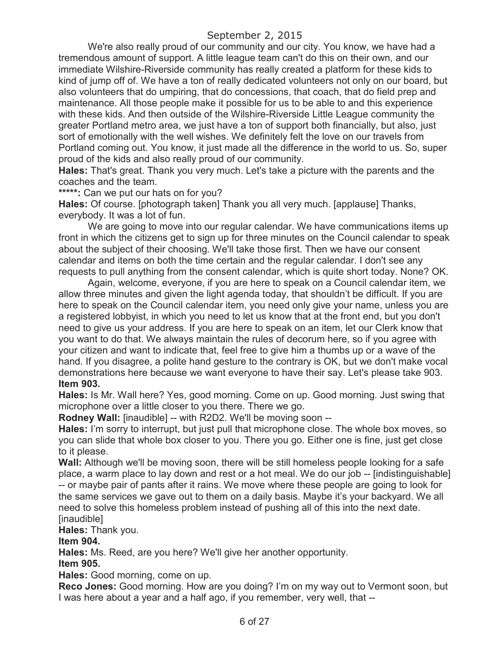We're also really proud of our community and our city. You know, we have had a tremendous amount of support. A little league team can't do this on their own, and our immediate Wilshire-Riverside community has really created a platform for these kids to kind of jump off of. We have a ton of really dedicated volunteers not only on our board, but also volunteers that do umpiring, that do concessions, that coach, that do field prep and maintenance. All those people make it possible for us to be able to and this experience with these kids. And then outside of the Wilshire-Riverside Little League community the greater Portland metro area, we just have a ton of support both financially, but also, just sort of emotionally with the well wishes. We definitely felt the love on our travels from Portland coming out. You know, it just made all the difference in the world to us. So, super proud of the kids and also really proud of our community.

**Hales:** That's great. Thank you very much. Let's take a picture with the parents and the coaches and the team.

**\*\*\*\*\*:** Can we put our hats on for you?

**Hales:** Of course. [photograph taken] Thank you all very much. [applause] Thanks, everybody. It was a lot of fun.

We are going to move into our regular calendar. We have communications items up front in which the citizens get to sign up for three minutes on the Council calendar to speak about the subject of their choosing. We'll take those first. Then we have our consent calendar and items on both the time certain and the regular calendar. I don't see any requests to pull anything from the consent calendar, which is quite short today. None? OK.

Again, welcome, everyone, if you are here to speak on a Council calendar item, we allow three minutes and given the light agenda today, that shouldn't be difficult. If you are here to speak on the Council calendar item, you need only give your name, unless you are a registered lobbyist, in which you need to let us know that at the front end, but you don't need to give us your address. If you are here to speak on an item, let our Clerk know that you want to do that. We always maintain the rules of decorum here, so if you agree with your citizen and want to indicate that, feel free to give him a thumbs up or a wave of the hand. If you disagree, a polite hand gesture to the contrary is OK, but we don't make vocal demonstrations here because we want everyone to have their say. Let's please take 903. **Item 903.**

**Hales:** Is Mr. Wall here? Yes, good morning. Come on up. Good morning. Just swing that microphone over a little closer to you there. There we go.

**Rodney Wall:** [inaudible] -- with R2D2. We'll be moving soon --

**Hales:** I'm sorry to interrupt, but just pull that microphone close. The whole box moves, so you can slide that whole box closer to you. There you go. Either one is fine, just get close to it please.

**Wall:** Although we'll be moving soon, there will be still homeless people looking for a safe place, a warm place to lay down and rest or a hot meal. We do our job -- [indistinguishable] -- or maybe pair of pants after it rains. We move where these people are going to look for the same services we gave out to them on a daily basis. Maybe it's your backyard. We all need to solve this homeless problem instead of pushing all of this into the next date. [inaudible]

**Hales:** Thank you.

**Item 904.**

**Hales:** Ms. Reed, are you here? We'll give her another opportunity.

#### **Item 905.**

**Hales:** Good morning, come on up.

**Reco Jones:** Good morning. How are you doing? I'm on my way out to Vermont soon, but I was here about a year and a half ago, if you remember, very well, that --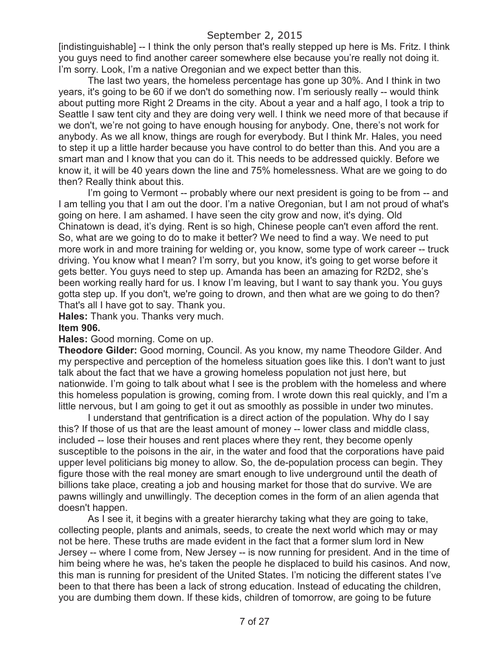[indistinguishable] -- I think the only person that's really stepped up here is Ms. Fritz. I think you guys need to find another career somewhere else because you're really not doing it. I'm sorry. Look, I'm a native Oregonian and we expect better than this.

The last two years, the homeless percentage has gone up 30%. And I think in two years, it's going to be 60 if we don't do something now. I'm seriously really -- would think about putting more Right 2 Dreams in the city. About a year and a half ago, I took a trip to Seattle I saw tent city and they are doing very well. I think we need more of that because if we don't, we're not going to have enough housing for anybody. One, there's not work for anybody. As we all know, things are rough for everybody. But I think Mr. Hales, you need to step it up a little harder because you have control to do better than this. And you are a smart man and I know that you can do it. This needs to be addressed quickly. Before we know it, it will be 40 years down the line and 75% homelessness. What are we going to do then? Really think about this.

I'm going to Vermont -- probably where our next president is going to be from -- and I am telling you that I am out the door. I'm a native Oregonian, but I am not proud of what's going on here. I am ashamed. I have seen the city grow and now, it's dying. Old Chinatown is dead, it's dying. Rent is so high, Chinese people can't even afford the rent. So, what are we going to do to make it better? We need to find a way. We need to put more work in and more training for welding or, you know, some type of work career -- truck driving. You know what I mean? I'm sorry, but you know, it's going to get worse before it gets better. You guys need to step up. Amanda has been an amazing for R2D2, she's been working really hard for us. I know I'm leaving, but I want to say thank you. You guys gotta step up. If you don't, we're going to drown, and then what are we going to do then? That's all I have got to say. Thank you.

**Hales:** Thank you. Thanks very much. **Item 906.**

**Hales:** Good morning. Come on up.

**Theodore Gilder:** Good morning, Council. As you know, my name Theodore Gilder. And my perspective and perception of the homeless situation goes like this. I don't want to just talk about the fact that we have a growing homeless population not just here, but nationwide. I'm going to talk about what I see is the problem with the homeless and where this homeless population is growing, coming from. I wrote down this real quickly, and I'm a little nervous, but I am going to get it out as smoothly as possible in under two minutes.

I understand that gentrification is a direct action of the population. Why do I say this? If those of us that are the least amount of money -- lower class and middle class, included -- lose their houses and rent places where they rent, they become openly susceptible to the poisons in the air, in the water and food that the corporations have paid upper level politicians big money to allow. So, the de-population process can begin. They figure those with the real money are smart enough to live underground until the death of billions take place, creating a job and housing market for those that do survive. We are pawns willingly and unwillingly. The deception comes in the form of an alien agenda that doesn't happen.

As I see it, it begins with a greater hierarchy taking what they are going to take, collecting people, plants and animals, seeds, to create the next world which may or may not be here. These truths are made evident in the fact that a former slum lord in New Jersey -- where I come from, New Jersey -- is now running for president. And in the time of him being where he was, he's taken the people he displaced to build his casinos. And now, this man is running for president of the United States. I'm noticing the different states I've been to that there has been a lack of strong education. Instead of educating the children, you are dumbing them down. If these kids, children of tomorrow, are going to be future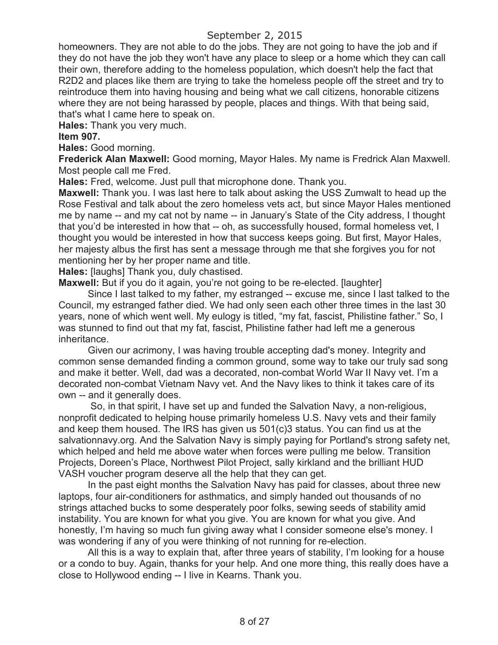homeowners. They are not able to do the jobs. They are not going to have the job and if they do not have the job they won't have any place to sleep or a home which they can call their own, therefore adding to the homeless population, which doesn't help the fact that R2D2 and places like them are trying to take the homeless people off the street and try to reintroduce them into having housing and being what we call citizens, honorable citizens where they are not being harassed by people, places and things. With that being said, that's what I came here to speak on.

**Hales:** Thank you very much.

### **Item 907.**

**Hales:** Good morning.

**Frederick Alan Maxwell:** Good morning, Mayor Hales. My name is Fredrick Alan Maxwell. Most people call me Fred.

**Hales:** Fred, welcome. Just pull that microphone done. Thank you.

**Maxwell:** Thank you. I was last here to talk about asking the USS Zumwalt to head up the Rose Festival and talk about the zero homeless vets act, but since Mayor Hales mentioned me by name -- and my cat not by name -- in January's State of the City address, I thought that you'd be interested in how that -- oh, as successfully housed, formal homeless vet, I thought you would be interested in how that success keeps going. But first, Mayor Hales, her majesty albus the first has sent a message through me that she forgives you for not mentioning her by her proper name and title.

**Hales:** [laughs] Thank you, duly chastised.

**Maxwell:** But if you do it again, you're not going to be re-elected. [laughter]

Since I last talked to my father, my estranged -- excuse me, since I last talked to the Council, my estranged father died. We had only seen each other three times in the last 30 years, none of which went well. My eulogy is titled, "my fat, fascist, Philistine father." So, I was stunned to find out that my fat, fascist, Philistine father had left me a generous inheritance.

Given our acrimony, I was having trouble accepting dad's money. Integrity and common sense demanded finding a common ground, some way to take our truly sad song and make it better. Well, dad was a decorated, non-combat World War II Navy vet. I'm a decorated non-combat Vietnam Navy vet. And the Navy likes to think it takes care of its own -- and it generally does.

So, in that spirit, I have set up and funded the Salvation Navy, a non-religious, nonprofit dedicated to helping house primarily homeless U.S. Navy vets and their family and keep them housed. The IRS has given us 501(c)3 status. You can find us at the salvationnavy.org. And the Salvation Navy is simply paying for Portland's strong safety net, which helped and held me above water when forces were pulling me below. Transition Projects, Doreen's Place, Northwest Pilot Project, sally kirkland and the brilliant HUD VASH voucher program deserve all the help that they can get.

In the past eight months the Salvation Navy has paid for classes, about three new laptops, four air-conditioners for asthmatics, and simply handed out thousands of no strings attached bucks to some desperately poor folks, sewing seeds of stability amid instability. You are known for what you give. You are known for what you give. And honestly, I'm having so much fun giving away what I consider someone else's money. I was wondering if any of you were thinking of not running for re-election.

All this is a way to explain that, after three years of stability, I'm looking for a house or a condo to buy. Again, thanks for your help. And one more thing, this really does have a close to Hollywood ending -- I live in Kearns. Thank you.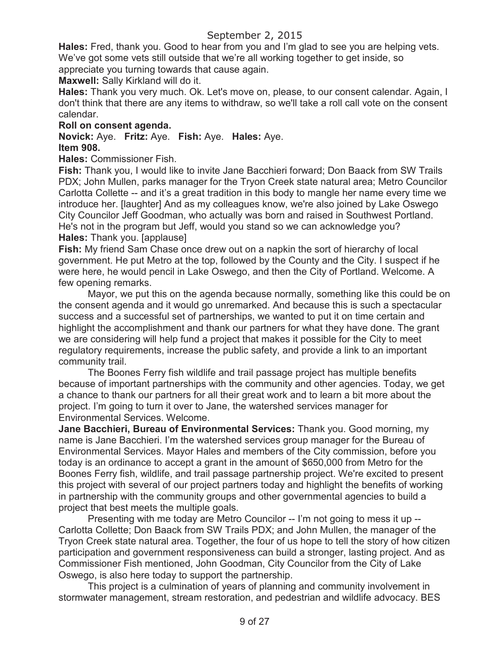**Hales:** Fred, thank you. Good to hear from you and I'm glad to see you are helping vets. We've got some vets still outside that we're all working together to get inside, so appreciate you turning towards that cause again.

**Maxwell:** Sally Kirkland will do it.

**Hales:** Thank you very much. Ok. Let's move on, please, to our consent calendar. Again, I don't think that there are any items to withdraw, so we'll take a roll call vote on the consent calendar.

## **Roll on consent agenda.**

**Novick:** Aye. **Fritz:** Aye. **Fish:** Aye. **Hales:** Aye. **Item 908.**

## **Hales:** Commissioner Fish.

**Fish:** Thank you, I would like to invite Jane Bacchieri forward; Don Baack from SW Trails PDX; John Mullen, parks manager for the Tryon Creek state natural area; Metro Councilor Carlotta Collette -- and it's a great tradition in this body to mangle her name every time we introduce her. [laughter] And as my colleagues know, we're also joined by Lake Oswego City Councilor Jeff Goodman, who actually was born and raised in Southwest Portland. He's not in the program but Jeff, would you stand so we can acknowledge you? **Hales:** Thank you. [applause]

**Fish:** My friend Sam Chase once drew out on a napkin the sort of hierarchy of local government. He put Metro at the top, followed by the County and the City. I suspect if he were here, he would pencil in Lake Oswego, and then the City of Portland. Welcome. A few opening remarks.

Mayor, we put this on the agenda because normally, something like this could be on the consent agenda and it would go unremarked. And because this is such a spectacular success and a successful set of partnerships, we wanted to put it on time certain and highlight the accomplishment and thank our partners for what they have done. The grant we are considering will help fund a project that makes it possible for the City to meet regulatory requirements, increase the public safety, and provide a link to an important community trail.

The Boones Ferry fish wildlife and trail passage project has multiple benefits because of important partnerships with the community and other agencies. Today, we get a chance to thank our partners for all their great work and to learn a bit more about the project. I'm going to turn it over to Jane, the watershed services manager for Environmental Services. Welcome.

**Jane Bacchieri, Bureau of Environmental Services:** Thank you. Good morning, my name is Jane Bacchieri. I'm the watershed services group manager for the Bureau of Environmental Services. Mayor Hales and members of the City commission, before you today is an ordinance to accept a grant in the amount of \$650,000 from Metro for the Boones Ferry fish, wildlife, and trail passage partnership project. We're excited to present this project with several of our project partners today and highlight the benefits of working in partnership with the community groups and other governmental agencies to build a project that best meets the multiple goals.

Presenting with me today are Metro Councilor -- I'm not going to mess it up -- Carlotta Collette; Don Baack from SW Trails PDX; and John Mullen, the manager of the Tryon Creek state natural area. Together, the four of us hope to tell the story of how citizen participation and government responsiveness can build a stronger, lasting project. And as Commissioner Fish mentioned, John Goodman, City Councilor from the City of Lake Oswego, is also here today to support the partnership.

This project is a culmination of years of planning and community involvement in stormwater management, stream restoration, and pedestrian and wildlife advocacy. BES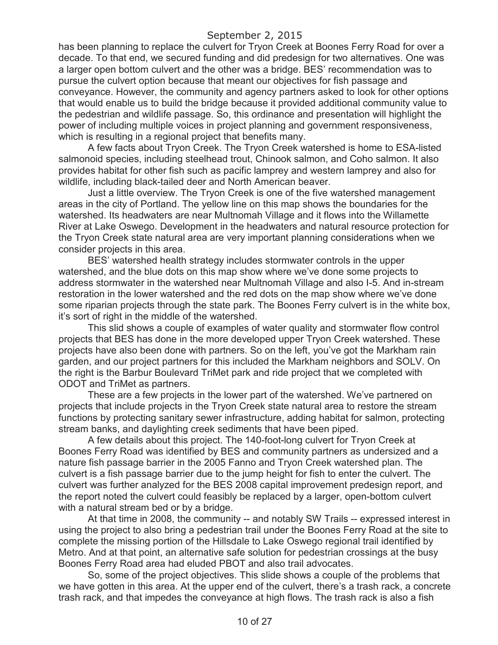has been planning to replace the culvert for Tryon Creek at Boones Ferry Road for over a decade. To that end, we secured funding and did predesign for two alternatives. One was a larger open bottom culvert and the other was a bridge. BES' recommendation was to pursue the culvert option because that meant our objectives for fish passage and conveyance. However, the community and agency partners asked to look for other options that would enable us to build the bridge because it provided additional community value to the pedestrian and wildlife passage. So, this ordinance and presentation will highlight the power of including multiple voices in project planning and government responsiveness, which is resulting in a regional project that benefits many.

A few facts about Tryon Creek. The Tryon Creek watershed is home to ESA-listed salmonoid species, including steelhead trout, Chinook salmon, and Coho salmon. It also provides habitat for other fish such as pacific lamprey and western lamprey and also for wildlife, including black-tailed deer and North American beaver.

Just a little overview. The Tryon Creek is one of the five watershed management areas in the city of Portland. The yellow line on this map shows the boundaries for the watershed. Its headwaters are near Multnomah Village and it flows into the Willamette River at Lake Oswego. Development in the headwaters and natural resource protection for the Tryon Creek state natural area are very important planning considerations when we consider projects in this area.

BES' watershed health strategy includes stormwater controls in the upper watershed, and the blue dots on this map show where we've done some projects to address stormwater in the watershed near Multnomah Village and also I-5. And in-stream restoration in the lower watershed and the red dots on the map show where we've done some riparian projects through the state park. The Boones Ferry culvert is in the white box, it's sort of right in the middle of the watershed.

This slid shows a couple of examples of water quality and stormwater flow control projects that BES has done in the more developed upper Tryon Creek watershed. These projects have also been done with partners. So on the left, you've got the Markham rain garden, and our project partners for this included the Markham neighbors and SOLV. On the right is the Barbur Boulevard TriMet park and ride project that we completed with ODOT and TriMet as partners.

These are a few projects in the lower part of the watershed. We've partnered on projects that include projects in the Tryon Creek state natural area to restore the stream functions by protecting sanitary sewer infrastructure, adding habitat for salmon, protecting stream banks, and daylighting creek sediments that have been piped.

A few details about this project. The 140-foot-long culvert for Tryon Creek at Boones Ferry Road was identified by BES and community partners as undersized and a nature fish passage barrier in the 2005 Fanno and Tryon Creek watershed plan. The culvert is a fish passage barrier due to the jump height for fish to enter the culvert. The culvert was further analyzed for the BES 2008 capital improvement predesign report, and the report noted the culvert could feasibly be replaced by a larger, open-bottom culvert with a natural stream bed or by a bridge.

At that time in 2008, the community -- and notably SW Trails -- expressed interest in using the project to also bring a pedestrian trail under the Boones Ferry Road at the site to complete the missing portion of the Hillsdale to Lake Oswego regional trail identified by Metro. And at that point, an alternative safe solution for pedestrian crossings at the busy Boones Ferry Road area had eluded PBOT and also trail advocates.

So, some of the project objectives. This slide shows a couple of the problems that we have gotten in this area. At the upper end of the culvert, there's a trash rack, a concrete trash rack, and that impedes the conveyance at high flows. The trash rack is also a fish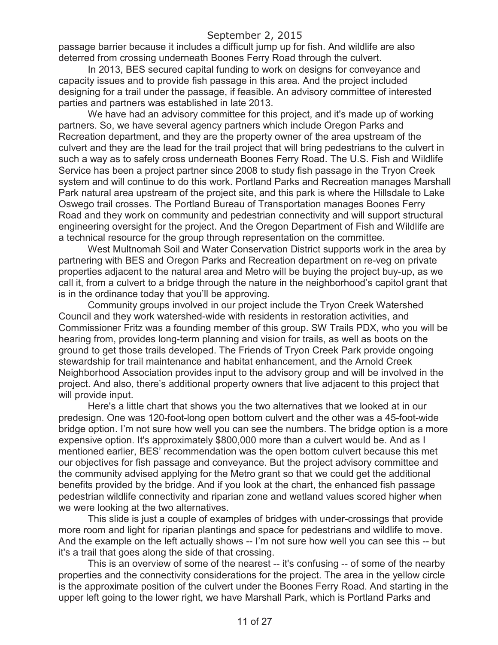passage barrier because it includes a difficult jump up for fish. And wildlife are also deterred from crossing underneath Boones Ferry Road through the culvert.

In 2013, BES secured capital funding to work on designs for conveyance and capacity issues and to provide fish passage in this area. And the project included designing for a trail under the passage, if feasible. An advisory committee of interested parties and partners was established in late 2013.

We have had an advisory committee for this project, and it's made up of working partners. So, we have several agency partners which include Oregon Parks and Recreation department, and they are the property owner of the area upstream of the culvert and they are the lead for the trail project that will bring pedestrians to the culvert in such a way as to safely cross underneath Boones Ferry Road. The U.S. Fish and Wildlife Service has been a project partner since 2008 to study fish passage in the Tryon Creek system and will continue to do this work. Portland Parks and Recreation manages Marshall Park natural area upstream of the project site, and this park is where the Hillsdale to Lake Oswego trail crosses. The Portland Bureau of Transportation manages Boones Ferry Road and they work on community and pedestrian connectivity and will support structural engineering oversight for the project. And the Oregon Department of Fish and Wildlife are a technical resource for the group through representation on the committee.

West Multnomah Soil and Water Conservation District supports work in the area by partnering with BES and Oregon Parks and Recreation department on re-veg on private properties adjacent to the natural area and Metro will be buying the project buy-up, as we call it, from a culvert to a bridge through the nature in the neighborhood's capitol grant that is in the ordinance today that you'll be approving.

Community groups involved in our project include the Tryon Creek Watershed Council and they work watershed-wide with residents in restoration activities, and Commissioner Fritz was a founding member of this group. SW Trails PDX, who you will be hearing from, provides long-term planning and vision for trails, as well as boots on the ground to get those trails developed. The Friends of Tryon Creek Park provide ongoing stewardship for trail maintenance and habitat enhancement, and the Arnold Creek Neighborhood Association provides input to the advisory group and will be involved in the project. And also, there's additional property owners that live adjacent to this project that will provide input.

Here's a little chart that shows you the two alternatives that we looked at in our predesign. One was 120-foot-long open bottom culvert and the other was a 45-foot-wide bridge option. I'm not sure how well you can see the numbers. The bridge option is a more expensive option. It's approximately \$800,000 more than a culvert would be. And as I mentioned earlier, BES' recommendation was the open bottom culvert because this met our objectives for fish passage and conveyance. But the project advisory committee and the community advised applying for the Metro grant so that we could get the additional benefits provided by the bridge. And if you look at the chart, the enhanced fish passage pedestrian wildlife connectivity and riparian zone and wetland values scored higher when we were looking at the two alternatives.

This slide is just a couple of examples of bridges with under-crossings that provide more room and light for riparian plantings and space for pedestrians and wildlife to move. And the example on the left actually shows -- I'm not sure how well you can see this -- but it's a trail that goes along the side of that crossing.

This is an overview of some of the nearest -- it's confusing -- of some of the nearby properties and the connectivity considerations for the project. The area in the yellow circle is the approximate position of the culvert under the Boones Ferry Road. And starting in the upper left going to the lower right, we have Marshall Park, which is Portland Parks and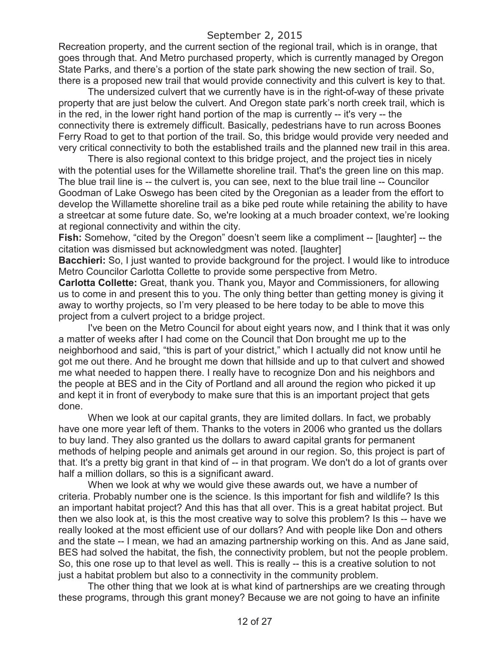Recreation property, and the current section of the regional trail, which is in orange, that goes through that. And Metro purchased property, which is currently managed by Oregon State Parks, and there's a portion of the state park showing the new section of trail. So, there is a proposed new trail that would provide connectivity and this culvert is key to that.

The undersized culvert that we currently have is in the right-of-way of these private property that are just below the culvert. And Oregon state park's north creek trail, which is in the red, in the lower right hand portion of the map is currently -- it's very -- the connectivity there is extremely difficult. Basically, pedestrians have to run across Boones Ferry Road to get to that portion of the trail. So, this bridge would provide very needed and very critical connectivity to both the established trails and the planned new trail in this area.

There is also regional context to this bridge project, and the project ties in nicely with the potential uses for the Willamette shoreline trail. That's the green line on this map. The blue trail line is -- the culvert is, you can see, next to the blue trail line -- Councilor Goodman of Lake Oswego has been cited by the Oregonian as a leader from the effort to develop the Willamette shoreline trail as a bike ped route while retaining the ability to have a streetcar at some future date. So, we're looking at a much broader context, we're looking at regional connectivity and within the city.

**Fish:** Somehow, "cited by the Oregon" doesn't seem like a compliment -- [laughter] -- the citation was dismissed but acknowledgment was noted. [laughter]

**Bacchieri:** So, I just wanted to provide background for the project. I would like to introduce Metro Councilor Carlotta Collette to provide some perspective from Metro.

**Carlotta Collette:** Great, thank you. Thank you, Mayor and Commissioners, for allowing us to come in and present this to you. The only thing better than getting money is giving it away to worthy projects, so I'm very pleased to be here today to be able to move this project from a culvert project to a bridge project.

I've been on the Metro Council for about eight years now, and I think that it was only a matter of weeks after I had come on the Council that Don brought me up to the neighborhood and said, "this is part of your district," which I actually did not know until he got me out there. And he brought me down that hillside and up to that culvert and showed me what needed to happen there. I really have to recognize Don and his neighbors and the people at BES and in the City of Portland and all around the region who picked it up and kept it in front of everybody to make sure that this is an important project that gets done.

When we look at our capital grants, they are limited dollars. In fact, we probably have one more year left of them. Thanks to the voters in 2006 who granted us the dollars to buy land. They also granted us the dollars to award capital grants for permanent methods of helping people and animals get around in our region. So, this project is part of that. It's a pretty big grant in that kind of -- in that program. We don't do a lot of grants over half a million dollars, so this is a significant award.

When we look at why we would give these awards out, we have a number of criteria. Probably number one is the science. Is this important for fish and wildlife? Is this an important habitat project? And this has that all over. This is a great habitat project. But then we also look at, is this the most creative way to solve this problem? Is this -- have we really looked at the most efficient use of our dollars? And with people like Don and others and the state -- I mean, we had an amazing partnership working on this. And as Jane said, BES had solved the habitat, the fish, the connectivity problem, but not the people problem. So, this one rose up to that level as well. This is really -- this is a creative solution to not just a habitat problem but also to a connectivity in the community problem.

The other thing that we look at is what kind of partnerships are we creating through these programs, through this grant money? Because we are not going to have an infinite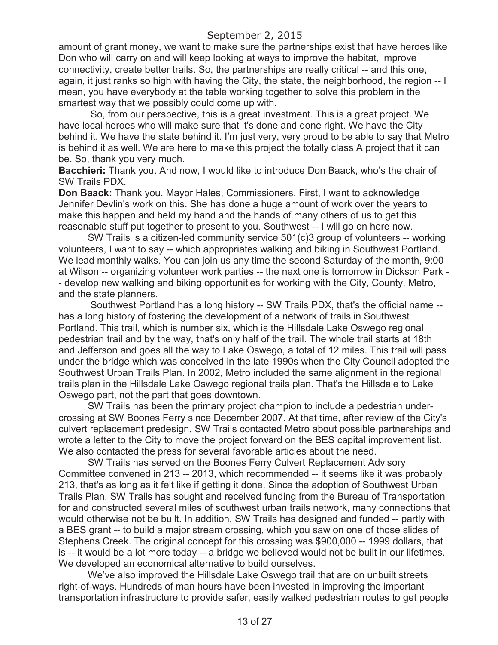amount of grant money, we want to make sure the partnerships exist that have heroes like Don who will carry on and will keep looking at ways to improve the habitat, improve connectivity, create better trails. So, the partnerships are really critical -- and this one, again, it just ranks so high with having the City, the state, the neighborhood, the region -- I mean, you have everybody at the table working together to solve this problem in the smartest way that we possibly could come up with.

So, from our perspective, this is a great investment. This is a great project. We have local heroes who will make sure that it's done and done right. We have the City behind it. We have the state behind it. I'm just very, very proud to be able to say that Metro is behind it as well. We are here to make this project the totally class A project that it can be. So, thank you very much.

**Bacchieri:** Thank you. And now, I would like to introduce Don Baack, who's the chair of SW Trails PDX.

**Don Baack:** Thank you. Mayor Hales, Commissioners. First, I want to acknowledge Jennifer Devlin's work on this. She has done a huge amount of work over the years to make this happen and held my hand and the hands of many others of us to get this reasonable stuff put together to present to you. Southwest -- I will go on here now.

SW Trails is a citizen-led community service 501(c)3 group of volunteers -- working volunteers, I want to say -- which appropriates walking and biking in Southwest Portland. We lead monthly walks. You can join us any time the second Saturday of the month, 9:00 at Wilson -- organizing volunteer work parties -- the next one is tomorrow in Dickson Park - - develop new walking and biking opportunities for working with the City, County, Metro, and the state planners.

Southwest Portland has a long history -- SW Trails PDX, that's the official name - has a long history of fostering the development of a network of trails in Southwest Portland. This trail, which is number six, which is the Hillsdale Lake Oswego regional pedestrian trail and by the way, that's only half of the trail. The whole trail starts at 18th and Jefferson and goes all the way to Lake Oswego, a total of 12 miles. This trail will pass under the bridge which was conceived in the late 1990s when the City Council adopted the Southwest Urban Trails Plan. In 2002, Metro included the same alignment in the regional trails plan in the Hillsdale Lake Oswego regional trails plan. That's the Hillsdale to Lake Oswego part, not the part that goes downtown.

SW Trails has been the primary project champion to include a pedestrian undercrossing at SW Boones Ferry since December 2007. At that time, after review of the City's culvert replacement predesign, SW Trails contacted Metro about possible partnerships and wrote a letter to the City to move the project forward on the BES capital improvement list. We also contacted the press for several favorable articles about the need.

SW Trails has served on the Boones Ferry Culvert Replacement Advisory Committee convened in 213 -- 2013, which recommended -- it seems like it was probably 213, that's as long as it felt like if getting it done. Since the adoption of Southwest Urban Trails Plan, SW Trails has sought and received funding from the Bureau of Transportation for and constructed several miles of southwest urban trails network, many connections that would otherwise not be built. In addition, SW Trails has designed and funded -- partly with a BES grant -- to build a major stream crossing, which you saw on one of those slides of Stephens Creek. The original concept for this crossing was \$900,000 -- 1999 dollars, that is -- it would be a lot more today -- a bridge we believed would not be built in our lifetimes. We developed an economical alternative to build ourselves.

We've also improved the Hillsdale Lake Oswego trail that are on unbuilt streets right-of-ways. Hundreds of man hours have been invested in improving the important transportation infrastructure to provide safer, easily walked pedestrian routes to get people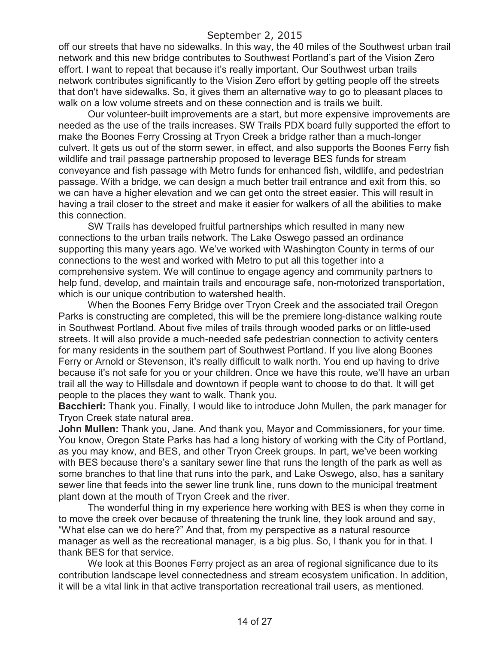off our streets that have no sidewalks. In this way, the 40 miles of the Southwest urban trail network and this new bridge contributes to Southwest Portland's part of the Vision Zero effort. I want to repeat that because it's really important. Our Southwest urban trails network contributes significantly to the Vision Zero effort by getting people off the streets that don't have sidewalks. So, it gives them an alternative way to go to pleasant places to walk on a low volume streets and on these connection and is trails we built.

Our volunteer-built improvements are a start, but more expensive improvements are needed as the use of the trails increases. SW Trails PDX board fully supported the effort to make the Boones Ferry Crossing at Tryon Creek a bridge rather than a much-longer culvert. It gets us out of the storm sewer, in effect, and also supports the Boones Ferry fish wildlife and trail passage partnership proposed to leverage BES funds for stream conveyance and fish passage with Metro funds for enhanced fish, wildlife, and pedestrian passage. With a bridge, we can design a much better trail entrance and exit from this, so we can have a higher elevation and we can get onto the street easier. This will result in having a trail closer to the street and make it easier for walkers of all the abilities to make this connection.

SW Trails has developed fruitful partnerships which resulted in many new connections to the urban trails network. The Lake Oswego passed an ordinance supporting this many years ago. We've worked with Washington County in terms of our connections to the west and worked with Metro to put all this together into a comprehensive system. We will continue to engage agency and community partners to help fund, develop, and maintain trails and encourage safe, non-motorized transportation, which is our unique contribution to watershed health.

When the Boones Ferry Bridge over Tryon Creek and the associated trail Oregon Parks is constructing are completed, this will be the premiere long-distance walking route in Southwest Portland. About five miles of trails through wooded parks or on little-used streets. It will also provide a much-needed safe pedestrian connection to activity centers for many residents in the southern part of Southwest Portland. If you live along Boones Ferry or Arnold or Stevenson, it's really difficult to walk north. You end up having to drive because it's not safe for you or your children. Once we have this route, we'll have an urban trail all the way to Hillsdale and downtown if people want to choose to do that. It will get people to the places they want to walk. Thank you.

**Bacchieri:** Thank you. Finally, I would like to introduce John Mullen, the park manager for Tryon Creek state natural area.

**John Mullen:** Thank you, Jane. And thank you, Mayor and Commissioners, for your time. You know, Oregon State Parks has had a long history of working with the City of Portland, as you may know, and BES, and other Tryon Creek groups. In part, we've been working with BES because there's a sanitary sewer line that runs the length of the park as well as some branches to that line that runs into the park, and Lake Oswego, also, has a sanitary sewer line that feeds into the sewer line trunk line, runs down to the municipal treatment plant down at the mouth of Tryon Creek and the river.

The wonderful thing in my experience here working with BES is when they come in to move the creek over because of threatening the trunk line, they look around and say, "What else can we do here?" And that, from my perspective as a natural resource manager as well as the recreational manager, is a big plus. So, I thank you for in that. I thank BES for that service.

We look at this Boones Ferry project as an area of regional significance due to its contribution landscape level connectedness and stream ecosystem unification. In addition, it will be a vital link in that active transportation recreational trail users, as mentioned.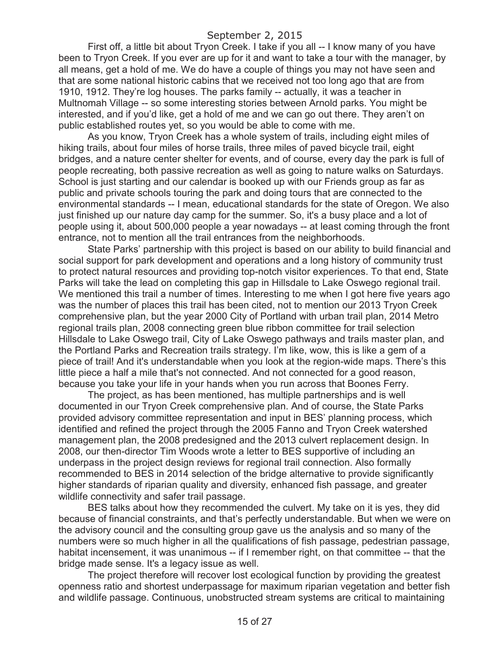First off, a little bit about Tryon Creek. I take if you all -- I know many of you have been to Tryon Creek. If you ever are up for it and want to take a tour with the manager, by all means, get a hold of me. We do have a couple of things you may not have seen and that are some national historic cabins that we received not too long ago that are from 1910, 1912. They're log houses. The parks family -- actually, it was a teacher in Multnomah Village -- so some interesting stories between Arnold parks. You might be interested, and if you'd like, get a hold of me and we can go out there. They aren't on public established routes yet, so you would be able to come with me.

As you know, Tryon Creek has a whole system of trails, including eight miles of hiking trails, about four miles of horse trails, three miles of paved bicycle trail, eight bridges, and a nature center shelter for events, and of course, every day the park is full of people recreating, both passive recreation as well as going to nature walks on Saturdays. School is just starting and our calendar is booked up with our Friends group as far as public and private schools touring the park and doing tours that are connected to the environmental standards -- I mean, educational standards for the state of Oregon. We also just finished up our nature day camp for the summer. So, it's a busy place and a lot of people using it, about 500,000 people a year nowadays -- at least coming through the front entrance, not to mention all the trail entrances from the neighborhoods.

State Parks' partnership with this project is based on our ability to build financial and social support for park development and operations and a long history of community trust to protect natural resources and providing top-notch visitor experiences. To that end, State Parks will take the lead on completing this gap in Hillsdale to Lake Oswego regional trail. We mentioned this trail a number of times. Interesting to me when I got here five years ago was the number of places this trail has been cited, not to mention our 2013 Tryon Creek comprehensive plan, but the year 2000 City of Portland with urban trail plan, 2014 Metro regional trails plan, 2008 connecting green blue ribbon committee for trail selection Hillsdale to Lake Oswego trail, City of Lake Oswego pathways and trails master plan, and the Portland Parks and Recreation trails strategy. I'm like, wow, this is like a gem of a piece of trail! And it's understandable when you look at the region-wide maps. There's this little piece a half a mile that's not connected. And not connected for a good reason, because you take your life in your hands when you run across that Boones Ferry.

The project, as has been mentioned, has multiple partnerships and is well documented in our Tryon Creek comprehensive plan. And of course, the State Parks provided advisory committee representation and input in BES' planning process, which identified and refined the project through the 2005 Fanno and Tryon Creek watershed management plan, the 2008 predesigned and the 2013 culvert replacement design. In 2008, our then-director Tim Woods wrote a letter to BES supportive of including an underpass in the project design reviews for regional trail connection. Also formally recommended to BES in 2014 selection of the bridge alternative to provide significantly higher standards of riparian quality and diversity, enhanced fish passage, and greater wildlife connectivity and safer trail passage.

BES talks about how they recommended the culvert. My take on it is yes, they did because of financial constraints, and that's perfectly understandable. But when we were on the advisory council and the consulting group gave us the analysis and so many of the numbers were so much higher in all the qualifications of fish passage, pedestrian passage, habitat incensement, it was unanimous -- if I remember right, on that committee -- that the bridge made sense. It's a legacy issue as well.

The project therefore will recover lost ecological function by providing the greatest openness ratio and shortest underpassage for maximum riparian vegetation and better fish and wildlife passage. Continuous, unobstructed stream systems are critical to maintaining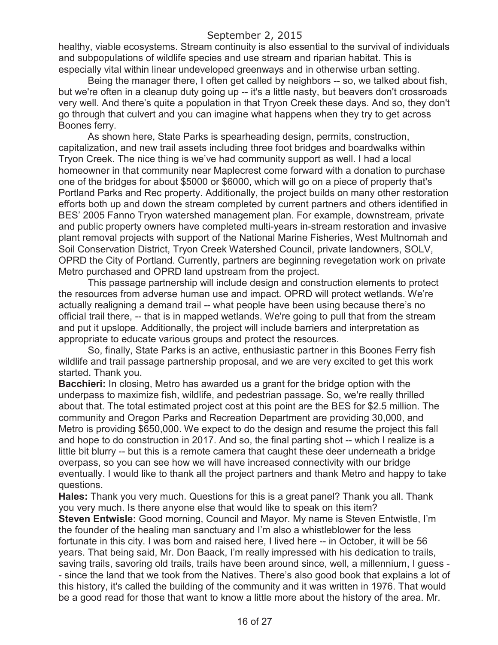healthy, viable ecosystems. Stream continuity is also essential to the survival of individuals and subpopulations of wildlife species and use stream and riparian habitat. This is especially vital within linear undeveloped greenways and in otherwise urban setting.

Being the manager there, I often get called by neighbors -- so, we talked about fish, but we're often in a cleanup duty going up -- it's a little nasty, but beavers don't crossroads very well. And there's quite a population in that Tryon Creek these days. And so, they don't go through that culvert and you can imagine what happens when they try to get across Boones ferry.

As shown here, State Parks is spearheading design, permits, construction, capitalization, and new trail assets including three foot bridges and boardwalks within Tryon Creek. The nice thing is we've had community support as well. I had a local homeowner in that community near Maplecrest come forward with a donation to purchase one of the bridges for about \$5000 or \$6000, which will go on a piece of property that's Portland Parks and Rec property. Additionally, the project builds on many other restoration efforts both up and down the stream completed by current partners and others identified in BES' 2005 Fanno Tryon watershed management plan. For example, downstream, private and public property owners have completed multi-years in-stream restoration and invasive plant removal projects with support of the National Marine Fisheries, West Multnomah and Soil Conservation District, Tryon Creek Watershed Council, private landowners, SOLV, OPRD the City of Portland. Currently, partners are beginning revegetation work on private Metro purchased and OPRD land upstream from the project.

This passage partnership will include design and construction elements to protect the resources from adverse human use and impact. OPRD will protect wetlands. We're actually realigning a demand trail -- what people have been using because there's no official trail there, -- that is in mapped wetlands. We're going to pull that from the stream and put it upslope. Additionally, the project will include barriers and interpretation as appropriate to educate various groups and protect the resources.

So, finally, State Parks is an active, enthusiastic partner in this Boones Ferry fish wildlife and trail passage partnership proposal, and we are very excited to get this work started. Thank you.

**Bacchieri:** In closing, Metro has awarded us a grant for the bridge option with the underpass to maximize fish, wildlife, and pedestrian passage. So, we're really thrilled about that. The total estimated project cost at this point are the BES for \$2.5 million. The community and Oregon Parks and Recreation Department are providing 30,000, and Metro is providing \$650,000. We expect to do the design and resume the project this fall and hope to do construction in 2017. And so, the final parting shot -- which I realize is a little bit blurry -- but this is a remote camera that caught these deer underneath a bridge overpass, so you can see how we will have increased connectivity with our bridge eventually. I would like to thank all the project partners and thank Metro and happy to take questions.

**Hales:** Thank you very much. Questions for this is a great panel? Thank you all. Thank you very much. Is there anyone else that would like to speak on this item?

**Steven Entwisle:** Good morning, Council and Mayor. My name is Steven Entwistle, I'm the founder of the healing man sanctuary and I'm also a whistleblower for the less fortunate in this city. I was born and raised here, I lived here -- in October, it will be 56 years. That being said, Mr. Don Baack, I'm really impressed with his dedication to trails, saving trails, savoring old trails, trails have been around since, well, a millennium, I guess - - since the land that we took from the Natives. There's also good book that explains a lot of this history, it's called the building of the community and it was written in 1976. That would be a good read for those that want to know a little more about the history of the area. Mr.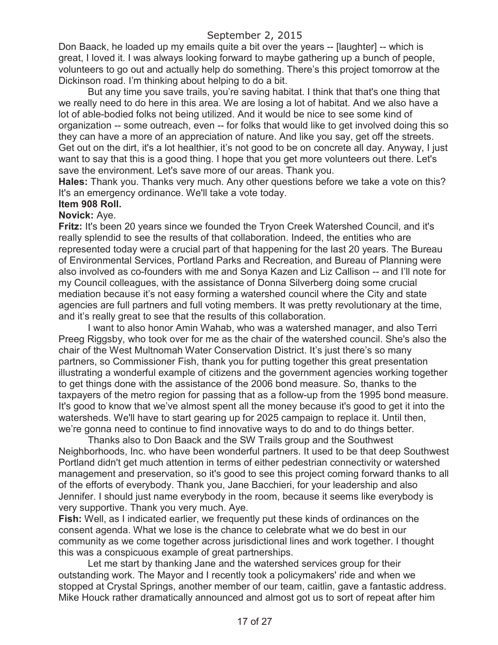Don Baack, he loaded up my emails quite a bit over the years -- [laughter] -- which is great, I loved it. I was always looking forward to maybe gathering up a bunch of people, volunteers to go out and actually help do something. There's this project tomorrow at the Dickinson road. I'm thinking about helping to do a bit.

But any time you save trails, you're saving habitat. I think that that's one thing that we really need to do here in this area. We are losing a lot of habitat. And we also have a lot of able-bodied folks not being utilized. And it would be nice to see some kind of organization -- some outreach, even -- for folks that would like to get involved doing this so they can have a more of an appreciation of nature. And like you say, get off the streets. Get out on the dirt, it's a lot healthier, it's not good to be on concrete all day. Anyway, I just want to say that this is a good thing. I hope that you get more volunteers out there. Let's save the environment. Let's save more of our areas. Thank you.

**Hales:** Thank you. Thanks very much. Any other questions before we take a vote on this? It's an emergency ordinance. We'll take a vote today.

### **Item 908 Roll.**

#### **Novick:** Aye.

**Fritz:** It's been 20 years since we founded the Tryon Creek Watershed Council, and it's really splendid to see the results of that collaboration. Indeed, the entities who are represented today were a crucial part of that happening for the last 20 years. The Bureau of Environmental Services, Portland Parks and Recreation, and Bureau of Planning were also involved as co-founders with me and Sonya Kazen and Liz Callison -- and I'll note for my Council colleagues, with the assistance of Donna Silverberg doing some crucial mediation because it's not easy forming a watershed council where the City and state agencies are full partners and full voting members. It was pretty revolutionary at the time, and it's really great to see that the results of this collaboration.

I want to also honor Amin Wahab, who was a watershed manager, and also Terri Preeg Riggsby, who took over for me as the chair of the watershed council. She's also the chair of the West Multnomah Water Conservation District. It's just there's so many partners, so Commissioner Fish, thank you for putting together this great presentation illustrating a wonderful example of citizens and the government agencies working together to get things done with the assistance of the 2006 bond measure. So, thanks to the taxpayers of the metro region for passing that as a follow-up from the 1995 bond measure. It's good to know that we've almost spent all the money because it's good to get it into the watersheds. We'll have to start gearing up for 2025 campaign to replace it. Until then, we're gonna need to continue to find innovative ways to do and to do things better.

Thanks also to Don Baack and the SW Trails group and the Southwest Neighborhoods, Inc. who have been wonderful partners. It used to be that deep Southwest Portland didn't get much attention in terms of either pedestrian connectivity or watershed management and preservation, so it's good to see this project coming forward thanks to all of the efforts of everybody. Thank you, Jane Bacchieri, for your leadership and also Jennifer. I should just name everybody in the room, because it seems like everybody is very supportive. Thank you very much. Aye.

**Fish:** Well, as I indicated earlier, we frequently put these kinds of ordinances on the consent agenda. What we lose is the chance to celebrate what we do best in our community as we come together across jurisdictional lines and work together. I thought this was a conspicuous example of great partnerships.

Let me start by thanking Jane and the watershed services group for their outstanding work. The Mayor and I recently took a policymakers' ride and when we stopped at Crystal Springs, another member of our team, caitlin, gave a fantastic address. Mike Houck rather dramatically announced and almost got us to sort of repeat after him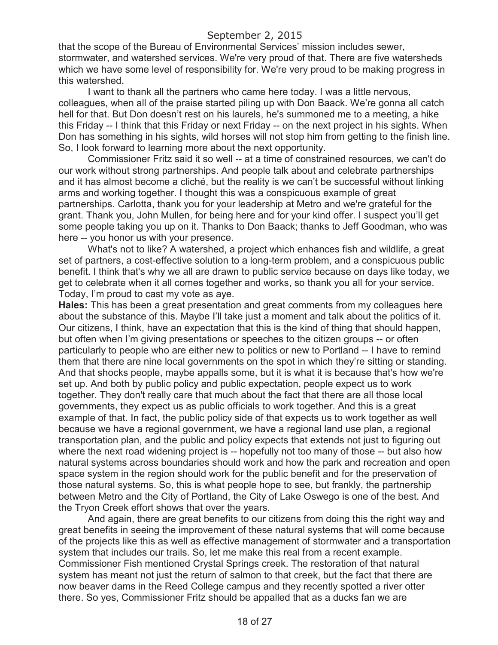that the scope of the Bureau of Environmental Services' mission includes sewer, stormwater, and watershed services. We're very proud of that. There are five watersheds which we have some level of responsibility for. We're very proud to be making progress in this watershed.

I want to thank all the partners who came here today. I was a little nervous, colleagues, when all of the praise started piling up with Don Baack. We're gonna all catch hell for that. But Don doesn't rest on his laurels, he's summoned me to a meeting, a hike this Friday -- I think that this Friday or next Friday -- on the next project in his sights. When Don has something in his sights, wild horses will not stop him from getting to the finish line. So, I look forward to learning more about the next opportunity.

Commissioner Fritz said it so well -- at a time of constrained resources, we can't do our work without strong partnerships. And people talk about and celebrate partnerships and it has almost become a cliché, but the reality is we can't be successful without linking arms and working together. I thought this was a conspicuous example of great partnerships. Carlotta, thank you for your leadership at Metro and we're grateful for the grant. Thank you, John Mullen, for being here and for your kind offer. I suspect you'll get some people taking you up on it. Thanks to Don Baack; thanks to Jeff Goodman, who was here -- you honor us with your presence.

What's not to like? A watershed, a project which enhances fish and wildlife, a great set of partners, a cost-effective solution to a long-term problem, and a conspicuous public benefit. I think that's why we all are drawn to public service because on days like today, we get to celebrate when it all comes together and works, so thank you all for your service. Today, I'm proud to cast my vote as aye.

**Hales:** This has been a great presentation and great comments from my colleagues here about the substance of this. Maybe I'll take just a moment and talk about the politics of it. Our citizens, I think, have an expectation that this is the kind of thing that should happen, but often when I'm giving presentations or speeches to the citizen groups -- or often particularly to people who are either new to politics or new to Portland -- I have to remind them that there are nine local governments on the spot in which they're sitting or standing. And that shocks people, maybe appalls some, but it is what it is because that's how we're set up. And both by public policy and public expectation, people expect us to work together. They don't really care that much about the fact that there are all those local governments, they expect us as public officials to work together. And this is a great example of that. In fact, the public policy side of that expects us to work together as well because we have a regional government, we have a regional land use plan, a regional transportation plan, and the public and policy expects that extends not just to figuring out where the next road widening project is -- hopefully not too many of those -- but also how natural systems across boundaries should work and how the park and recreation and open space system in the region should work for the public benefit and for the preservation of those natural systems. So, this is what people hope to see, but frankly, the partnership between Metro and the City of Portland, the City of Lake Oswego is one of the best. And the Tryon Creek effort shows that over the years.

And again, there are great benefits to our citizens from doing this the right way and great benefits in seeing the improvement of these natural systems that will come because of the projects like this as well as effective management of stormwater and a transportation system that includes our trails. So, let me make this real from a recent example. Commissioner Fish mentioned Crystal Springs creek. The restoration of that natural system has meant not just the return of salmon to that creek, but the fact that there are now beaver dams in the Reed College campus and they recently spotted a river otter there. So yes, Commissioner Fritz should be appalled that as a ducks fan we are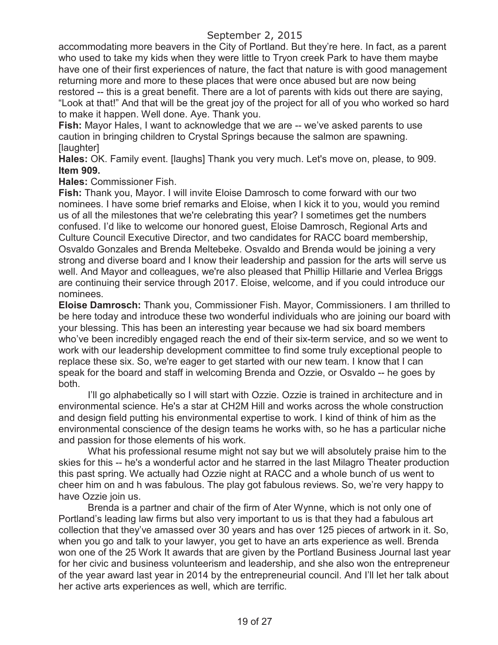accommodating more beavers in the City of Portland. But they're here. In fact, as a parent who used to take my kids when they were little to Tryon creek Park to have them maybe have one of their first experiences of nature, the fact that nature is with good management returning more and more to these places that were once abused but are now being restored -- this is a great benefit. There are a lot of parents with kids out there are saying, "Look at that!" And that will be the great joy of the project for all of you who worked so hard to make it happen. Well done. Aye. Thank you.

**Fish:** Mayor Hales, I want to acknowledge that we are -- we've asked parents to use caution in bringing children to Crystal Springs because the salmon are spawning. [laughter]

**Hales:** OK. Family event. [laughs] Thank you very much. Let's move on, please, to 909. **Item 909.**

**Hales:** Commissioner Fish.

**Fish:** Thank you, Mayor. I will invite Eloise Damrosch to come forward with our two nominees. I have some brief remarks and Eloise, when I kick it to you, would you remind us of all the milestones that we're celebrating this year? I sometimes get the numbers confused. I'd like to welcome our honored guest, Eloise Damrosch, Regional Arts and Culture Council Executive Director, and two candidates for RACC board membership, Osvaldo Gonzales and Brenda Meltebeke. Osvaldo and Brenda would be joining a very strong and diverse board and I know their leadership and passion for the arts will serve us well. And Mayor and colleagues, we're also pleased that Phillip Hillarie and Verlea Briggs are continuing their service through 2017. Eloise, welcome, and if you could introduce our nominees.

**Eloise Damrosch:** Thank you, Commissioner Fish. Mayor, Commissioners. I am thrilled to be here today and introduce these two wonderful individuals who are joining our board with your blessing. This has been an interesting year because we had six board members who've been incredibly engaged reach the end of their six-term service, and so we went to work with our leadership development committee to find some truly exceptional people to replace these six. So, we're eager to get started with our new team. I know that I can speak for the board and staff in welcoming Brenda and Ozzie, or Osvaldo -- he goes by both.

I'll go alphabetically so I will start with Ozzie. Ozzie is trained in architecture and in environmental science. He's a star at CH2M Hill and works across the whole construction and design field putting his environmental expertise to work. I kind of think of him as the environmental conscience of the design teams he works with, so he has a particular niche and passion for those elements of his work.

What his professional resume might not say but we will absolutely praise him to the skies for this -- he's a wonderful actor and he starred in the last Milagro Theater production this past spring. We actually had Ozzie night at RACC and a whole bunch of us went to cheer him on and h was fabulous. The play got fabulous reviews. So, we're very happy to have Ozzie join us.

Brenda is a partner and chair of the firm of Ater Wynne, which is not only one of Portland's leading law firms but also very important to us is that they had a fabulous art collection that they've amassed over 30 years and has over 125 pieces of artwork in it. So, when you go and talk to your lawyer, you get to have an arts experience as well. Brenda won one of the 25 Work It awards that are given by the Portland Business Journal last year for her civic and business volunteerism and leadership, and she also won the entrepreneur of the year award last year in 2014 by the entrepreneurial council. And I'll let her talk about her active arts experiences as well, which are terrific.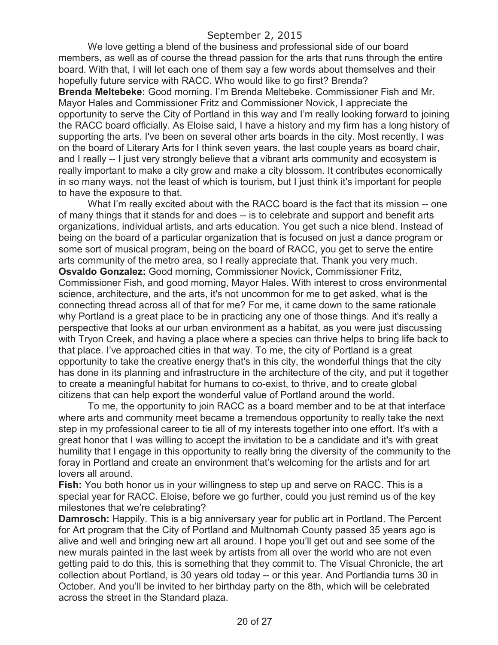We love getting a blend of the business and professional side of our board members, as well as of course the thread passion for the arts that runs through the entire board. With that, I will let each one of them say a few words about themselves and their hopefully future service with RACC. Who would like to go first? Brenda?

**Brenda Meltebeke:** Good morning. I'm Brenda Meltebeke. Commissioner Fish and Mr. Mayor Hales and Commissioner Fritz and Commissioner Novick, I appreciate the opportunity to serve the City of Portland in this way and I'm really looking forward to joining the RACC board officially. As Eloise said, I have a history and my firm has a long history of supporting the arts. I've been on several other arts boards in the city. Most recently, I was on the board of Literary Arts for I think seven years, the last couple years as board chair, and I really -- I just very strongly believe that a vibrant arts community and ecosystem is really important to make a city grow and make a city blossom. It contributes economically in so many ways, not the least of which is tourism, but I just think it's important for people to have the exposure to that.

What I'm really excited about with the RACC board is the fact that its mission -- one of many things that it stands for and does -- is to celebrate and support and benefit arts organizations, individual artists, and arts education. You get such a nice blend. Instead of being on the board of a particular organization that is focused on just a dance program or some sort of musical program, being on the board of RACC, you get to serve the entire arts community of the metro area, so I really appreciate that. Thank you very much. **Osvaldo Gonzalez:** Good morning, Commissioner Novick, Commissioner Fritz, Commissioner Fish, and good morning, Mayor Hales. With interest to cross environmental science, architecture, and the arts, it's not uncommon for me to get asked, what is the connecting thread across all of that for me? For me, it came down to the same rationale why Portland is a great place to be in practicing any one of those things. And it's really a perspective that looks at our urban environment as a habitat, as you were just discussing with Tryon Creek, and having a place where a species can thrive helps to bring life back to that place. I've approached cities in that way. To me, the city of Portland is a great opportunity to take the creative energy that's in this city, the wonderful things that the city has done in its planning and infrastructure in the architecture of the city, and put it together to create a meaningful habitat for humans to co-exist, to thrive, and to create global citizens that can help export the wonderful value of Portland around the world.

To me, the opportunity to join RACC as a board member and to be at that interface where arts and community meet became a tremendous opportunity to really take the next step in my professional career to tie all of my interests together into one effort. It's with a great honor that I was willing to accept the invitation to be a candidate and it's with great humility that I engage in this opportunity to really bring the diversity of the community to the foray in Portland and create an environment that's welcoming for the artists and for art lovers all around.

**Fish:** You both honor us in your willingness to step up and serve on RACC. This is a special year for RACC. Eloise, before we go further, could you just remind us of the key milestones that we're celebrating?

**Damrosch:** Happily. This is a big anniversary year for public art in Portland. The Percent for Art program that the City of Portland and Multnomah County passed 35 years ago is alive and well and bringing new art all around. I hope you'll get out and see some of the new murals painted in the last week by artists from all over the world who are not even getting paid to do this, this is something that they commit to. The Visual Chronicle, the art collection about Portland, is 30 years old today -- or this year. And Portlandia turns 30 in October. And you'll be invited to her birthday party on the 8th, which will be celebrated across the street in the Standard plaza.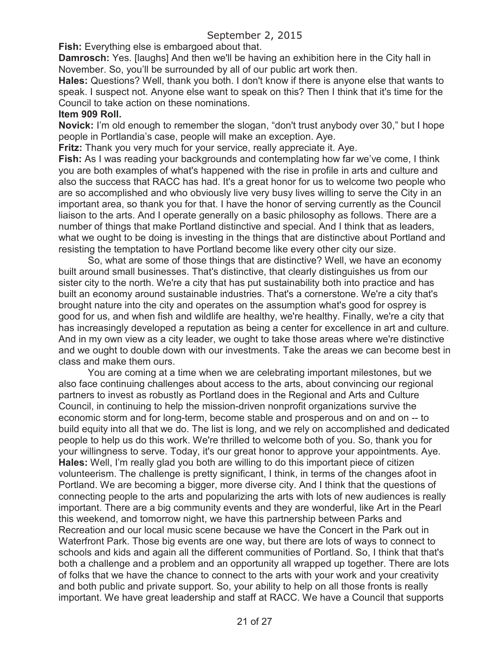**Fish:** Everything else is embargoed about that.

**Damrosch:** Yes. [laughs] And then we'll be having an exhibition here in the City hall in November. So, you'll be surrounded by all of our public art work then.

**Hales:** Questions? Well, thank you both. I don't know if there is anyone else that wants to speak. I suspect not. Anyone else want to speak on this? Then I think that it's time for the Council to take action on these nominations.

### **Item 909 Roll.**

**Novick:** I'm old enough to remember the slogan, "don't trust anybody over 30," but I hope people in Portlandia's case, people will make an exception. Aye.

**Fritz:** Thank you very much for your service, really appreciate it. Aye.

**Fish:** As I was reading your backgrounds and contemplating how far we've come, I think you are both examples of what's happened with the rise in profile in arts and culture and also the success that RACC has had. It's a great honor for us to welcome two people who are so accomplished and who obviously live very busy lives willing to serve the City in an important area, so thank you for that. I have the honor of serving currently as the Council liaison to the arts. And I operate generally on a basic philosophy as follows. There are a number of things that make Portland distinctive and special. And I think that as leaders, what we ought to be doing is investing in the things that are distinctive about Portland and resisting the temptation to have Portland become like every other city our size.

So, what are some of those things that are distinctive? Well, we have an economy built around small businesses. That's distinctive, that clearly distinguishes us from our sister city to the north. We're a city that has put sustainability both into practice and has built an economy around sustainable industries. That's a cornerstone. We're a city that's brought nature into the city and operates on the assumption what's good for osprey is good for us, and when fish and wildlife are healthy, we're healthy. Finally, we're a city that has increasingly developed a reputation as being a center for excellence in art and culture. And in my own view as a city leader, we ought to take those areas where we're distinctive and we ought to double down with our investments. Take the areas we can become best in class and make them ours.

You are coming at a time when we are celebrating important milestones, but we also face continuing challenges about access to the arts, about convincing our regional partners to invest as robustly as Portland does in the Regional and Arts and Culture Council, in continuing to help the mission-driven nonprofit organizations survive the economic storm and for long-term, become stable and prosperous and on and on -- to build equity into all that we do. The list is long, and we rely on accomplished and dedicated people to help us do this work. We're thrilled to welcome both of you. So, thank you for your willingness to serve. Today, it's our great honor to approve your appointments. Aye. **Hales:** Well, I'm really glad you both are willing to do this important piece of citizen volunteerism. The challenge is pretty significant, I think, in terms of the changes afoot in Portland. We are becoming a bigger, more diverse city. And I think that the questions of connecting people to the arts and popularizing the arts with lots of new audiences is really important. There are a big community events and they are wonderful, like Art in the Pearl this weekend, and tomorrow night, we have this partnership between Parks and Recreation and our local music scene because we have the Concert in the Park out in Waterfront Park. Those big events are one way, but there are lots of ways to connect to schools and kids and again all the different communities of Portland. So, I think that that's both a challenge and a problem and an opportunity all wrapped up together. There are lots of folks that we have the chance to connect to the arts with your work and your creativity and both public and private support. So, your ability to help on all those fronts is really important. We have great leadership and staff at RACC. We have a Council that supports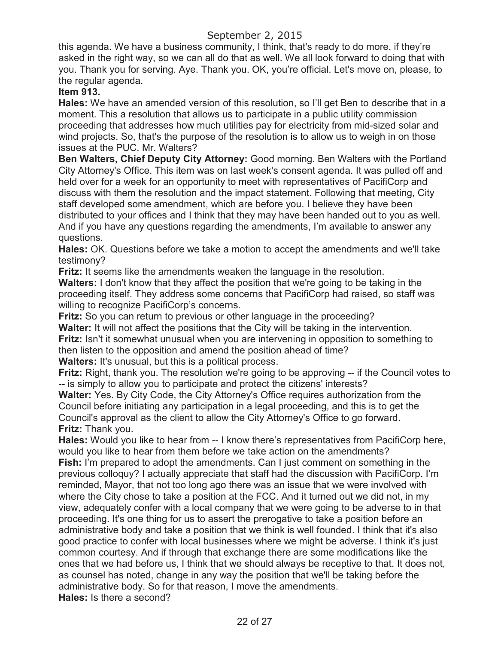this agenda. We have a business community, I think, that's ready to do more, if they're asked in the right way, so we can all do that as well. We all look forward to doing that with you. Thank you for serving. Aye. Thank you. OK, you're official. Let's move on, please, to the regular agenda.

# **Item 913.**

**Hales:** We have an amended version of this resolution, so I'll get Ben to describe that in a moment. This a resolution that allows us to participate in a public utility commission proceeding that addresses how much utilities pay for electricity from mid-sized solar and wind projects. So, that's the purpose of the resolution is to allow us to weigh in on those issues at the PUC. Mr. Walters?

**Ben Walters, Chief Deputy City Attorney:** Good morning. Ben Walters with the Portland City Attorney's Office. This item was on last week's consent agenda. It was pulled off and held over for a week for an opportunity to meet with representatives of PacifiCorp and discuss with them the resolution and the impact statement. Following that meeting, City staff developed some amendment, which are before you. I believe they have been distributed to your offices and I think that they may have been handed out to you as well. And if you have any questions regarding the amendments, I'm available to answer any questions.

**Hales:** OK. Questions before we take a motion to accept the amendments and we'll take testimony?

**Fritz:** It seems like the amendments weaken the language in the resolution.

**Walters:** I don't know that they affect the position that we're going to be taking in the proceeding itself. They address some concerns that PacifiCorp had raised, so staff was willing to recognize PacifiCorp's concerns.

**Fritz:** So you can return to previous or other language in the proceeding?

**Walter:** It will not affect the positions that the City will be taking in the intervention. **Fritz:** Isn't it somewhat unusual when you are intervening in opposition to something to then listen to the opposition and amend the position ahead of time? **Walters:** It's unusual, but this is a political process.

**Fritz:** Right, thank you. The resolution we're going to be approving -- if the Council votes to -- is simply to allow you to participate and protect the citizens' interests?

**Walter:** Yes. By City Code, the City Attorney's Office requires authorization from the Council before initiating any participation in a legal proceeding, and this is to get the Council's approval as the client to allow the City Attorney's Office to go forward. **Fritz:** Thank you.

**Hales:** Would you like to hear from -- I know there's representatives from PacifiCorp here, would you like to hear from them before we take action on the amendments? **Fish:** I'm prepared to adopt the amendments. Can I just comment on something in the previous colloquy? I actually appreciate that staff had the discussion with PacifiCorp. I'm reminded, Mayor, that not too long ago there was an issue that we were involved with where the City chose to take a position at the FCC. And it turned out we did not, in my view, adequately confer with a local company that we were going to be adverse to in that proceeding. It's one thing for us to assert the prerogative to take a position before an administrative body and take a position that we think is well founded. I think that it's also good practice to confer with local businesses where we might be adverse. I think it's just common courtesy. And if through that exchange there are some modifications like the ones that we had before us, I think that we should always be receptive to that. It does not, as counsel has noted, change in any way the position that we'll be taking before the administrative body. So for that reason, I move the amendments. **Hales:** Is there a second?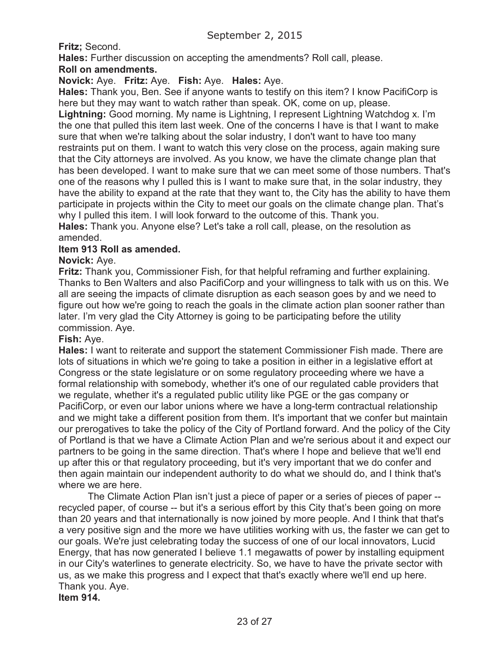**Fritz;** Second.

**Hales:** Further discussion on accepting the amendments? Roll call, please.

# **Roll on amendments.**

# **Novick:** Aye. **Fritz:** Aye. **Fish:** Aye. **Hales:** Aye.

**Hales:** Thank you, Ben. See if anyone wants to testify on this item? I know PacifiCorp is here but they may want to watch rather than speak. OK, come on up, please.

**Lightning:** Good morning. My name is Lightning, I represent Lightning Watchdog x. I'm the one that pulled this item last week. One of the concerns I have is that I want to make sure that when we're talking about the solar industry, I don't want to have too many restraints put on them. I want to watch this very close on the process, again making sure that the City attorneys are involved. As you know, we have the climate change plan that has been developed. I want to make sure that we can meet some of those numbers. That's one of the reasons why I pulled this is I want to make sure that, in the solar industry, they have the ability to expand at the rate that they want to, the City has the ability to have them participate in projects within the City to meet our goals on the climate change plan. That's why I pulled this item. I will look forward to the outcome of this. Thank you.

**Hales:** Thank you. Anyone else? Let's take a roll call, please, on the resolution as amended.

## **Item 913 Roll as amended.**

## **Novick:** Aye.

**Fritz:** Thank you, Commissioner Fish, for that helpful reframing and further explaining. Thanks to Ben Walters and also PacifiCorp and your willingness to talk with us on this. We all are seeing the impacts of climate disruption as each season goes by and we need to figure out how we're going to reach the goals in the climate action plan sooner rather than later. I'm very glad the City Attorney is going to be participating before the utility commission. Aye.

## **Fish:** Aye.

**Hales:** I want to reiterate and support the statement Commissioner Fish made. There are lots of situations in which we're going to take a position in either in a legislative effort at Congress or the state legislature or on some regulatory proceeding where we have a formal relationship with somebody, whether it's one of our regulated cable providers that we regulate, whether it's a regulated public utility like PGE or the gas company or PacifiCorp, or even our labor unions where we have a long-term contractual relationship and we might take a different position from them. It's important that we confer but maintain our prerogatives to take the policy of the City of Portland forward. And the policy of the City of Portland is that we have a Climate Action Plan and we're serious about it and expect our partners to be going in the same direction. That's where I hope and believe that we'll end up after this or that regulatory proceeding, but it's very important that we do confer and then again maintain our independent authority to do what we should do, and I think that's where we are here.

The Climate Action Plan isn't just a piece of paper or a series of pieces of paper - recycled paper, of course -- but it's a serious effort by this City that's been going on more than 20 years and that internationally is now joined by more people. And I think that that's a very positive sign and the more we have utilities working with us, the faster we can get to our goals. We're just celebrating today the success of one of our local innovators, Lucid Energy, that has now generated I believe 1.1 megawatts of power by installing equipment in our City's waterlines to generate electricity. So, we have to have the private sector with us, as we make this progress and I expect that that's exactly where we'll end up here. Thank you. Aye. **Item 914.**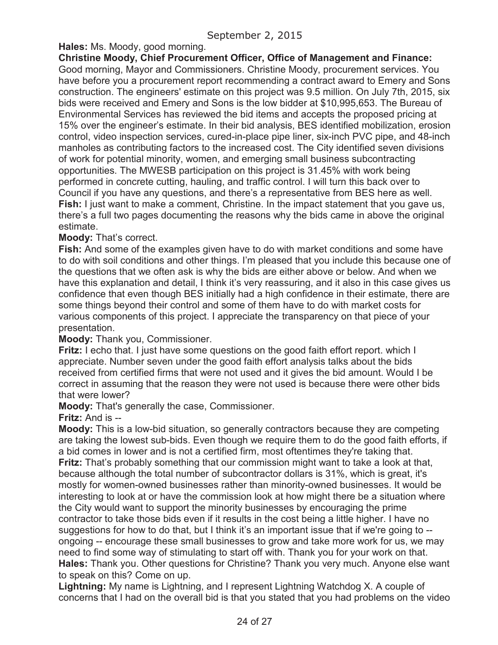**Hales:** Ms. Moody, good morning.

**Christine Moody, Chief Procurement Officer, Office of Management and Finance:** Good morning, Mayor and Commissioners. Christine Moody, procurement services. You have before you a procurement report recommending a contract award to Emery and Sons construction. The engineers' estimate on this project was 9.5 million. On July 7th, 2015, six bids were received and Emery and Sons is the low bidder at \$10,995,653. The Bureau of Environmental Services has reviewed the bid items and accepts the proposed pricing at 15% over the engineer's estimate. In their bid analysis, BES identified mobilization, erosion control, video inspection services, cured-in-place pipe liner, six-inch PVC pipe, and 48-inch manholes as contributing factors to the increased cost. The City identified seven divisions of work for potential minority, women, and emerging small business subcontracting opportunities. The MWESB participation on this project is 31.45% with work being performed in concrete cutting, hauling, and traffic control. I will turn this back over to Council if you have any questions, and there's a representative from BES here as well. **Fish:** I just want to make a comment, Christine. In the impact statement that you gave us, there's a full two pages documenting the reasons why the bids came in above the original estimate.

**Moody:** That's correct.

**Fish:** And some of the examples given have to do with market conditions and some have to do with soil conditions and other things. I'm pleased that you include this because one of the questions that we often ask is why the bids are either above or below. And when we have this explanation and detail, I think it's very reassuring, and it also in this case gives us confidence that even though BES initially had a high confidence in their estimate, there are some things beyond their control and some of them have to do with market costs for various components of this project. I appreciate the transparency on that piece of your presentation.

**Moody:** Thank you, Commissioner.

**Fritz:** I echo that. I just have some questions on the good faith effort report. which I appreciate. Number seven under the good faith effort analysis talks about the bids received from certified firms that were not used and it gives the bid amount. Would I be correct in assuming that the reason they were not used is because there were other bids that were lower?

**Moody:** That's generally the case, Commissioner.

**Fritz:** And is --

**Moody:** This is a low-bid situation, so generally contractors because they are competing are taking the lowest sub-bids. Even though we require them to do the good faith efforts, if a bid comes in lower and is not a certified firm, most oftentimes they're taking that. **Fritz:** That's probably something that our commission might want to take a look at that, because although the total number of subcontractor dollars is 31%, which is great, it's mostly for women-owned businesses rather than minority-owned businesses. It would be interesting to look at or have the commission look at how might there be a situation where the City would want to support the minority businesses by encouraging the prime contractor to take those bids even if it results in the cost being a little higher. I have no suggestions for how to do that, but I think it's an important issue that if we're going to -ongoing -- encourage these small businesses to grow and take more work for us, we may need to find some way of stimulating to start off with. Thank you for your work on that. **Hales:** Thank you. Other questions for Christine? Thank you very much. Anyone else want to speak on this? Come on up.

**Lightning:** My name is Lightning, and I represent Lightning Watchdog X. A couple of concerns that I had on the overall bid is that you stated that you had problems on the video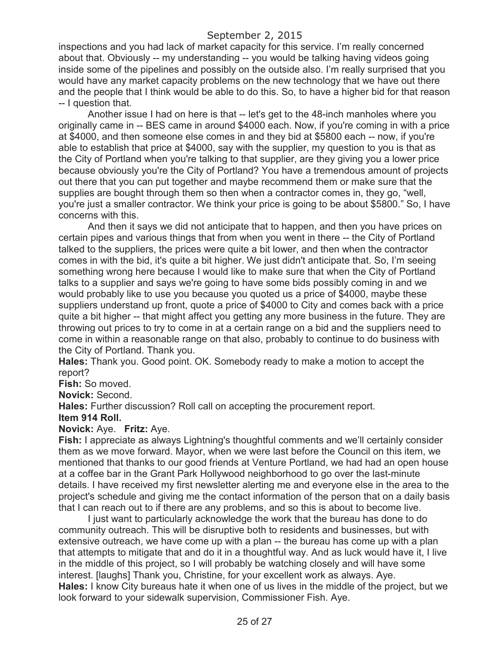inspections and you had lack of market capacity for this service. I'm really concerned about that. Obviously -- my understanding -- you would be talking having videos going inside some of the pipelines and possibly on the outside also. I'm really surprised that you would have any market capacity problems on the new technology that we have out there and the people that I think would be able to do this. So, to have a higher bid for that reason -- I question that.

Another issue I had on here is that -- let's get to the 48-inch manholes where you originally came in -- BES came in around \$4000 each. Now, if you're coming in with a price at \$4000, and then someone else comes in and they bid at \$5800 each -- now, if you're able to establish that price at \$4000, say with the supplier, my question to you is that as the City of Portland when you're talking to that supplier, are they giving you a lower price because obviously you're the City of Portland? You have a tremendous amount of projects out there that you can put together and maybe recommend them or make sure that the supplies are bought through them so then when a contractor comes in, they go, "well, you're just a smaller contractor. We think your price is going to be about \$5800." So, I have concerns with this.

And then it says we did not anticipate that to happen, and then you have prices on certain pipes and various things that from when you went in there -- the City of Portland talked to the suppliers, the prices were quite a bit lower, and then when the contractor comes in with the bid, it's quite a bit higher. We just didn't anticipate that. So, I'm seeing something wrong here because I would like to make sure that when the City of Portland talks to a supplier and says we're going to have some bids possibly coming in and we would probably like to use you because you quoted us a price of \$4000, maybe these suppliers understand up front, quote a price of \$4000 to City and comes back with a price quite a bit higher -- that might affect you getting any more business in the future. They are throwing out prices to try to come in at a certain range on a bid and the suppliers need to come in within a reasonable range on that also, probably to continue to do business with the City of Portland. Thank you.

**Hales:** Thank you. Good point. OK. Somebody ready to make a motion to accept the report?

**Fish:** So moved.

**Novick:** Second.

**Hales:** Further discussion? Roll call on accepting the procurement report. **Item 914 Roll.**

## **Novick:** Aye. **Fritz:** Aye.

**Fish:** I appreciate as always Lightning's thoughtful comments and we'll certainly consider them as we move forward. Mayor, when we were last before the Council on this item, we mentioned that thanks to our good friends at Venture Portland, we had had an open house at a coffee bar in the Grant Park Hollywood neighborhood to go over the last-minute details. I have received my first newsletter alerting me and everyone else in the area to the project's schedule and giving me the contact information of the person that on a daily basis that I can reach out to if there are any problems, and so this is about to become live.

I just want to particularly acknowledge the work that the bureau has done to do community outreach. This will be disruptive both to residents and businesses, but with extensive outreach, we have come up with a plan -- the bureau has come up with a plan that attempts to mitigate that and do it in a thoughtful way. And as luck would have it, I live in the middle of this project, so I will probably be watching closely and will have some interest. [laughs] Thank you, Christine, for your excellent work as always. Aye. **Hales:** I know City bureaus hate it when one of us lives in the middle of the project, but we look forward to your sidewalk supervision, Commissioner Fish. Aye.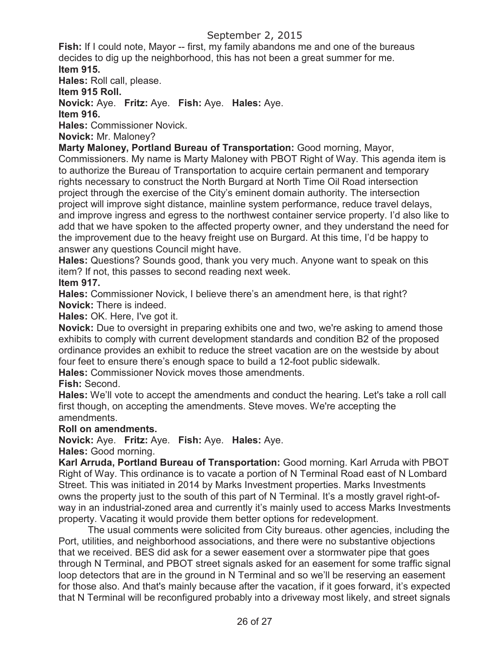**Fish:** If I could note, Mayor -- first, my family abandons me and one of the bureaus decides to dig up the neighborhood, this has not been a great summer for me. **Item 915.**

**Hales:** Roll call, please.

**Item 915 Roll.**

**Novick:** Aye. **Fritz:** Aye. **Fish:** Aye. **Hales:** Aye.

**Item 916.**

**Hales:** Commissioner Novick.

**Novick:** Mr. Maloney?

**Marty Maloney, Portland Bureau of Transportation:** Good morning, Mayor,

Commissioners. My name is Marty Maloney with PBOT Right of Way. This agenda item is to authorize the Bureau of Transportation to acquire certain permanent and temporary rights necessary to construct the North Burgard at North Time Oil Road intersection project through the exercise of the City's eminent domain authority. The intersection project will improve sight distance, mainline system performance, reduce travel delays, and improve ingress and egress to the northwest container service property. I'd also like to add that we have spoken to the affected property owner, and they understand the need for the improvement due to the heavy freight use on Burgard. At this time, I'd be happy to answer any questions Council might have.

**Hales:** Questions? Sounds good, thank you very much. Anyone want to speak on this item? If not, this passes to second reading next week.

**Item 917.**

**Hales:** Commissioner Novick, I believe there's an amendment here, is that right? **Novick:** There is indeed.

**Hales:** OK. Here, I've got it.

**Novick:** Due to oversight in preparing exhibits one and two, we're asking to amend those exhibits to comply with current development standards and condition B2 of the proposed ordinance provides an exhibit to reduce the street vacation are on the westside by about four feet to ensure there's enough space to build a 12-foot public sidewalk.

**Hales:** Commissioner Novick moves those amendments.

**Fish:** Second.

**Hales:** We'll vote to accept the amendments and conduct the hearing. Let's take a roll call first though, on accepting the amendments. Steve moves. We're accepting the amendments.

## **Roll on amendments.**

**Novick:** Aye. **Fritz:** Aye. **Fish:** Aye. **Hales:** Aye.

**Hales:** Good morning.

**Karl Arruda, Portland Bureau of Transportation:** Good morning. Karl Arruda with PBOT Right of Way. This ordinance is to vacate a portion of N Terminal Road east of N Lombard Street. This was initiated in 2014 by Marks Investment properties. Marks Investments owns the property just to the south of this part of N Terminal. It's a mostly gravel right-ofway in an industrial-zoned area and currently it's mainly used to access Marks Investments property. Vacating it would provide them better options for redevelopment.

The usual comments were solicited from City bureaus. other agencies, including the Port, utilities, and neighborhood associations, and there were no substantive objections that we received. BES did ask for a sewer easement over a stormwater pipe that goes through N Terminal, and PBOT street signals asked for an easement for some traffic signal loop detectors that are in the ground in N Terminal and so we'll be reserving an easement for those also. And that's mainly because after the vacation, if it goes forward, it's expected that N Terminal will be reconfigured probably into a driveway most likely, and street signals